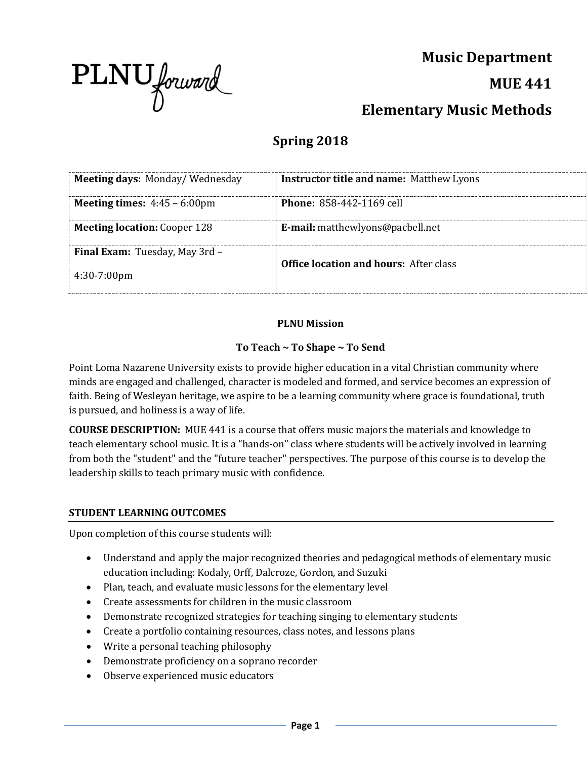

**Music Department MUE 441 Elementary Music Methods**

# **Spring 2018**

| <b>Meeting days: Monday/Wednesday</b>                          | <b>Instructor title and name: Matthew Lyons</b> |
|----------------------------------------------------------------|-------------------------------------------------|
| <b>Meeting times:</b> $4:45 - 6:00 \text{pm}$                  | <b>Phone: 858-442-1169 cell</b>                 |
| <b>Meeting location:</b> Cooper 128                            | <b>E-mail:</b> matthewlyons@pacbell.net         |
| <b>Final Exam:</b> Tuesday, May 3rd -<br>$4:30-7:00 \text{pm}$ | <b>Office location and hours:</b> After class   |

## **PLNU Mission**

## **To Teach ~ To Shape ~ To Send**

Point Loma Nazarene University exists to provide higher education in a vital Christian community where minds are engaged and challenged, character is modeled and formed, and service becomes an expression of faith. Being of Wesleyan heritage, we aspire to be a learning community where grace is foundational, truth is pursued, and holiness is a way of life.

**COURSE DESCRIPTION:** MUE 441 is a course that offers music majors the materials and knowledge to teach elementary school music. It is a "hands-on" class where students will be actively involved in learning from both the "student" and the "future teacher" perspectives. The purpose of this course is to develop the leadership skills to teach primary music with confidence.

#### **STUDENT LEARNING OUTCOMES**

Upon completion of this course students will:

- Understand and apply the major recognized theories and pedagogical methods of elementary music education including: Kodaly, Orff, Dalcroze, Gordon, and Suzuki
- Plan, teach, and evaluate music lessons for the elementary level
- Create assessments for children in the music classroom
- Demonstrate recognized strategies for teaching singing to elementary students
- Create a portfolio containing resources, class notes, and lessons plans
- Write a personal teaching philosophy
- Demonstrate proficiency on a soprano recorder
- Observe experienced music educators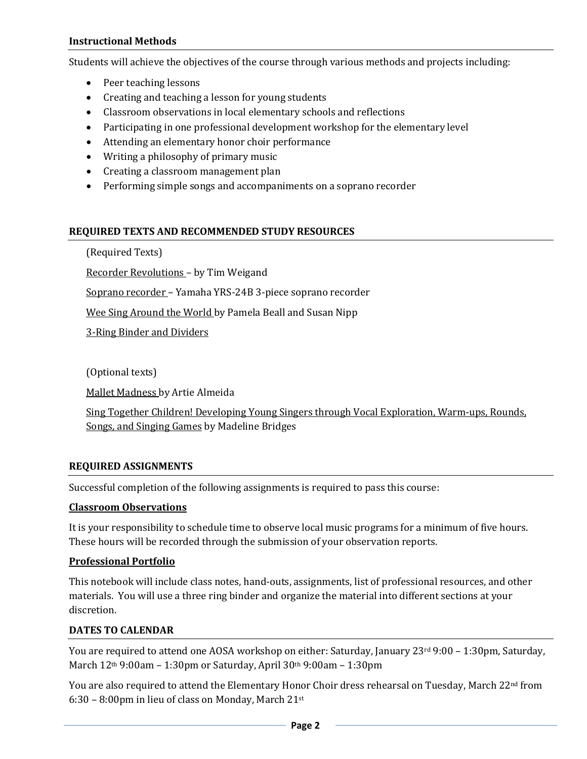#### **Instructional Methods**

Students will achieve the objectives of the course through various methods and projects including:

- Peer teaching lessons
- Creating and teaching a lesson for young students
- Classroom observations in local elementary schools and reflections
- Participating in one professional development workshop for the elementary level
- Attending an elementary honor choir performance
- Writing a philosophy of primary music
- Creating a classroom management plan
- Performing simple songs and accompaniments on a soprano recorder

## **REQUIRED TEXTS AND RECOMMENDED STUDY RESOURCES**

(Required Texts)

Recorder Revolutions – by Tim Weigand

Soprano recorder – Yamaha YRS-24B 3-piece soprano recorder

Wee Sing Around the World by Pamela Beall and Susan Nipp

3-Ring Binder and Dividers

(Optional texts)

Mallet Madness by Artie Almeida

Sing Together Children! Developing Young Singers through Vocal Exploration, Warm-ups, Rounds, Songs, and Singing Games by Madeline Bridges

## **REQUIRED ASSIGNMENTS**

Successful completion of the following assignments is required to pass this course:

#### **Classroom Observations**

It is your responsibility to schedule time to observe local music programs for a minimum of five hours. These hours will be recorded through the submission of your observation reports.

## **Professional Portfolio**

This notebook will include class notes, hand-outs, assignments, list of professional resources, and other materials. You will use a three ring binder and organize the material into different sections at your discretion.

## **DATES TO CALENDAR**

You are required to attend one AOSA workshop on either: Saturday, January 23rd 9:00 - 1:30pm, Saturday, March 12th 9:00am – 1:30pm or Saturday, April 30th 9:00am – 1:30pm

You are also required to attend the Elementary Honor Choir dress rehearsal on Tuesday, March 22<sup>nd</sup> from 6:30 – 8:00pm in lieu of class on Monday, March  $21^{st}$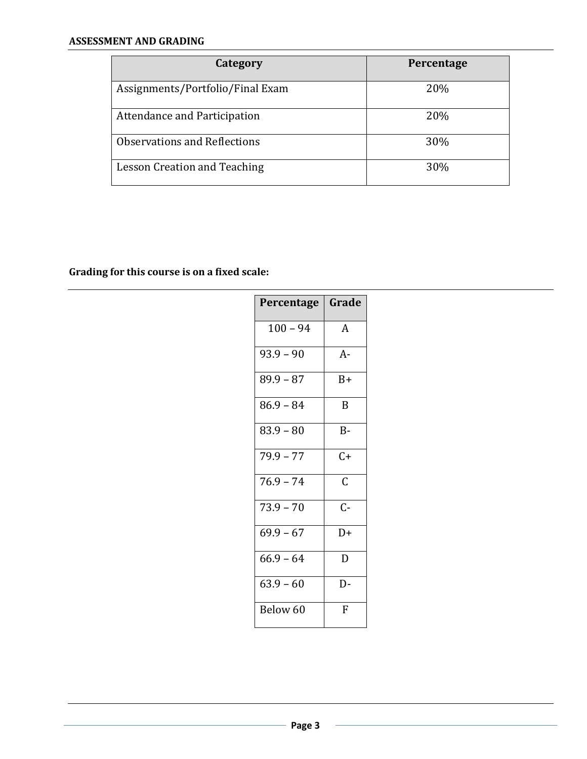| Category                         | Percentage |
|----------------------------------|------------|
| Assignments/Portfolio/Final Exam | 20%        |
| Attendance and Participation     | 20%        |
| Observations and Reflections     | 30%        |
| Lesson Creation and Teaching     | 30%        |

**Grading for this course is on a fixed scale:**

| Percentage  | Grade          |
|-------------|----------------|
| $100 - 94$  | A              |
| $93.9 - 90$ | A-             |
| $89.9 - 87$ | $B+$           |
| $86.9 - 84$ | B              |
| $83.9 - 80$ | $B -$          |
| $79.9 - 77$ | $C+$           |
| $76.9 - 74$ | $\overline{C}$ |
| $73.9 - 70$ | $C-$           |
| $69.9 - 67$ | $D+$           |
| $66.9 - 64$ | D              |
| $63.9 - 60$ | D-             |
| Below 60    | F              |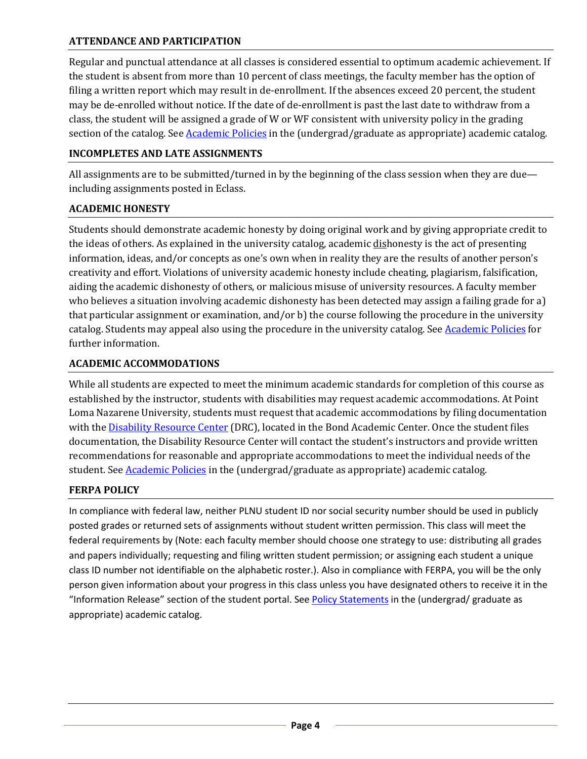## **ATTENDANCE AND PARTICIPATION**

Regular and punctual attendance at all classes is considered essential to optimum academic achievement. If the student is absent from more than 10 percent of class meetings, the faculty member has the option of filing a written report which may result in de-enrollment. If the absences exceed 20 percent, the student may be de-enrolled without notice. If the date of de-enrollment is past the last date to withdraw from a class, the student will be assigned a grade of W or WF consistent with university policy in the grading section of the catalog. See [Academic Policies](http://www.pointloma.edu/experience/academics/catalogs/undergraduate-catalog/point-loma-education/academic-policies) in the (undergrad/graduate as appropriate) academic catalog.

## **INCOMPLETES AND LATE ASSIGNMENTS**

All assignments are to be submitted/turned in by the beginning of the class session when they are due including assignments posted in Eclass.

## **ACADEMIC HONESTY**

Students should demonstrate academic honesty by doing original work and by giving appropriate credit to the ideas of others. As explained in the university catalog, academic dishonesty is the act of presenting information, ideas, and/or concepts as one's own when in reality they are the results of another person's creativity and effort. Violations of university academic honesty include cheating, plagiarism, falsification, aiding the academic dishonesty of others, or malicious misuse of university resources. A faculty member who believes a situation involving academic dishonesty has been detected may assign a failing grade for a) that particular assignment or examination, and/or b) the course following the procedure in the university catalog. Students may appeal also using the procedure in the university catalog. Se[e Academic Policies](http://www.pointloma.edu/experience/academics/catalogs/undergraduate-catalog/point-loma-education/academic-policies) for further information.

## **ACADEMIC ACCOMMODATIONS**

While all students are expected to meet the minimum academic standards for completion of this course as established by the instructor, students with disabilities may request academic accommodations. At Point Loma Nazarene University, students must request that academic accommodations by filing documentation with the **Disability Resource Center** (DRC), located in the Bond Academic Center. Once the student files documentation, the Disability Resource Center will contact the student's instructors and provide written recommendations for reasonable and appropriate accommodations to meet the individual needs of the student. See [Academic Policies](http://www.pointloma.edu/experience/academics/catalogs/undergraduate-catalog/point-loma-education/academic-policies) in the (undergrad/graduate as appropriate) academic catalog.

# **FERPA POLICY**

In compliance with federal law, neither PLNU student ID nor social security number should be used in publicly posted grades or returned sets of assignments without student written permission. This class will meet the federal requirements by (Note: each faculty member should choose one strategy to use: distributing all grades and papers individually; requesting and filing written student permission; or assigning each student a unique class ID number not identifiable on the alphabetic roster.). Also in compliance with FERPA, you will be the only person given information about your progress in this class unless you have designated others to receive it in the "Information Release" section of the student portal. Se[e Policy Statements](http://www.pointloma.edu/experience/academics/catalogs/undergraduate-catalog/policy-statements) in the (undergrad/ graduate as appropriate) academic catalog.